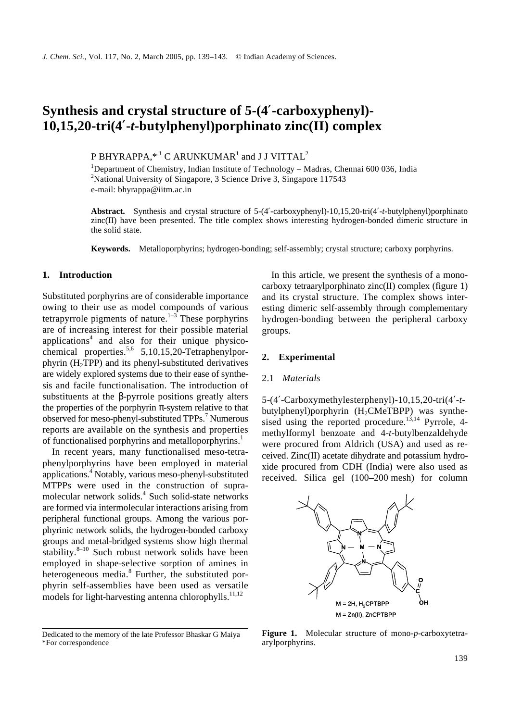# **Synthesis and crystal structure of 5-(4**′**-carboxyphenyl)- 10,15,20-tri(4**′**-***t***-butylphenyl)porphinato zinc(II) complex**

P BHYRAPPA, $^{\ast,1}$  C ARUNKUMAR $^1$  and J J VITTAL $^2$ 

<sup>1</sup>Department of Chemistry, Indian Institute of Technology - Madras, Chennai 600 036, India <sup>2</sup>National University of Singapore, 3 Science Drive 3, Singapore  $117543$ e-mail: bhyrappa@iitm.ac.in

**Abstract.** Synthesis and crystal structure of 5-(4′-carboxyphenyl)-10,15,20-tri(4′-*t*-butylphenyl)porphinato zinc(II) have been presented. The title complex shows interesting hydrogen-bonded dimeric structure in the solid state.

**Keywords.** Metalloporphyrins; hydrogen-bonding; self-assembly; crystal structure; carboxy porphyrins.

### **1. Introduction**

Substituted porphyrins are of considerable importance owing to their use as model compounds of various tetrapyrrole pigments of nature. $1-3$  These porphyrins are of increasing interest for their possible material applications<sup>4</sup> and also for their unique physicochemical properties.<sup>5,6</sup> 5,10,15,20-Tetraphenylpor $phyrin$  (H<sub>2</sub>TPP) and its phenyl-substituted derivatives are widely explored systems due to their ease of synthesis and facile functionalisation. The introduction of substituents at the *b*-pyrrole positions greatly alters the properties of the porphyrin *p*-system relative to that observed for meso-phenyl-substituted TPPs.<sup>7</sup> Numerous reports are available on the synthesis and properties of functionalised porphyrins and metalloporphyrins.<sup>1</sup>

In recent years, many functionalised meso-tetraphenylporphyrins have been employed in material applications.<sup>4</sup> Notably, various meso-phenyl-substituted MTPPs were used in the construction of supramolecular network solids.<sup>4</sup> Such solid-state networks are formed via intermolecular interactions arising from peripheral functional groups. Among the various porphyrinic network solids, the hydrogen-bonded carboxy groups and metal-bridged systems show high thermal stability. $8-10$  Such robust network solids have been employed in shape-selective sorption of amines in heterogeneous media.<sup>8</sup> Further, the substituted porphyrin self-assemblies have been used as versatile models for light-harvesting antenna chlorophylls. $11,12$ 

In this article, we present the synthesis of a monocarboxy tetraarylporphinato zinc(II) complex (figure 1) and its crystal structure. The complex shows interesting dimeric self-assembly through complementary hydrogen-bonding between the peripheral carboxy groups.

### **2. Experimental**

#### 2.1 *Materials*

5-(4′-Carboxymethylesterphenyl)-10,15,20-tri(4′-*t*butylphenyl)porphyrin  $(H_2CMeTBPP)$  was synthesised using the reported procedure.<sup>13,14</sup> Pyrrole, 4methylformyl benzoate and 4-*t*-butylbenzaldehyde were procured from Aldrich (USA) and used as received. Zinc(II) acetate dihydrate and potassium hydroxide procured from CDH (India) were also used as received. Silica gel (100–200 mesh) for column



**Figure 1.** Molecular structure of mono-*p*-carboxytetraarylporphyrins.

Dedicated to the memory of the late Professor Bhaskar G Maiya \*For correspondence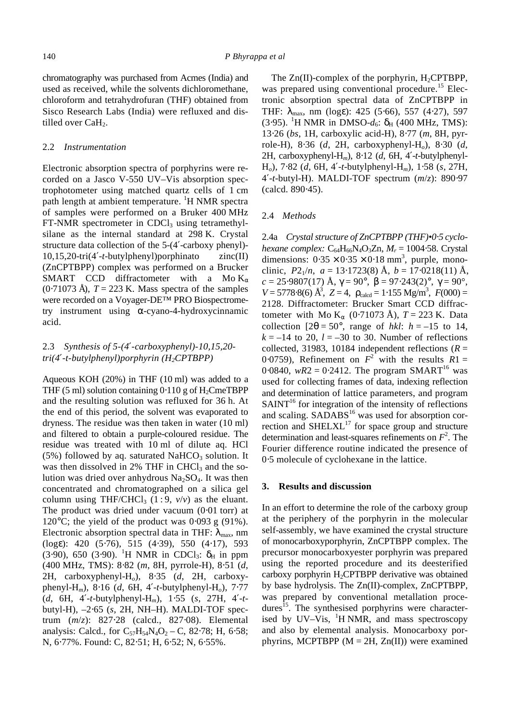chromatography was purchased from Acmes (India) and used as received, while the solvents dichloromethane, chloroform and tetrahydrofuran (THF) obtained from Sisco Research Labs (India) were refluxed and distilled over CaH<sub>2</sub>.

#### 2.2 *Instrumentation*

Electronic absorption spectra of porphyrins were recorded on a Jasco V-550 UV–Vis absorption spectrophotometer using matched quartz cells of 1 cm path length at ambient temperature. <sup>1</sup>H NMR spectra of samples were performed on a Bruker 400 MHz  $FT-NMR$  spectrometer in CDCl<sub>3</sub> using tetramethylsilane as the internal standard at 298 K. Crystal structure data collection of the 5-(4′-carboxy phenyl)- 10,15,20-tri(4′-*t*-butylphenyl)porphinato zinc(II) (ZnCPTBPP) complex was performed on a Brucker SMART CCD diffractometer with a Mo K*<sup>a</sup>*  $(0.71073 \text{ Å})$ ,  $T = 223 \text{ K}$ . Mass spectra of the samples were recorded on a Voyager-DE™ PRO Biospectrometry instrument using *a*-cyano-4-hydroxycinnamic acid.

## 2.3 *Synthesis of 5-(4¢-carboxyphenyl)-10,15,20 tri(4¢-t-butylphenyl)porphyrin (H2CPTBPP)*

Aqueous KOH (20%) in THF (10 ml) was added to a THF (5 ml) solution containing  $0.110$  g of H<sub>2</sub>CmeTBPP and the resulting solution was refluxed for 36 h. At the end of this period, the solvent was evaporated to dryness. The residue was then taken in water (10 ml) and filtered to obtain a purple-coloured residue. The residue was treated with 10 ml of dilute aq. HCl  $(5\%)$  followed by aq. saturated NaHCO<sub>3</sub> solution. It was then dissolved in  $2\%$  THF in CHCl<sub>3</sub> and the solution was dried over anhydrous  $Na<sub>2</sub>SO<sub>4</sub>$ . It was then concentrated and chromatographed on a silica gel column using THF/CHCl<sub>3</sub> (1:9,  $v/v$ ) as the eluant. The product was dried under vacuum (0⋅01 torr) at 120 $^{\circ}$ C; the yield of the product was 0⋅093 g (91%). Electronic absorption spectral data in THF:  $I_{\text{max}}$ , nm (log*e*): 420 (5⋅76), 515 (4⋅39), 550 (4⋅17), 593  $(3.90)$ , 650  $(3.90)$ . <sup>1</sup>H NMR in CDCl<sub>3</sub>:  $d_H$  in ppm (400 MHz, TMS): 8⋅82 (*m*, 8H, pyrrole-H), 8⋅51 (*d*, 2H, carboxyphenyl-H*o*), 8⋅35 (*d*, 2H, carboxyphenyl-H*m*), 8⋅16 (*d*, 6H, 4′-*t*-butylphenyl-H*o*), 7⋅77 (*d*, 6H, 4′-*t*-butylphenyl-H*m*), 1⋅55 (*s*, 27H, 4′-*t*butyl-H), –2⋅65 (*s*, 2H, NH–H). MALDI-TOF spectrum (*m*/*z*): 827⋅28 (calcd., 827⋅08). Elemental analysis: Calcd., for  $C_{57}H_{54}N_4O_2 - C$ , 82⋅78; H, 6⋅58; N, 6⋅77%. Found: C, 82⋅51; H, 6⋅52; N, 6⋅55%.

The  $Zn(II)$ -complex of the porphyrin,  $H_2CPTBPP$ , was prepared using conventional procedure.<sup>15</sup> Electronic absorption spectral data of ZnCPTBPP in THF: *l*max, nm (log*e*): 425 (5⋅66), 557 (4⋅27), 597 (3⋅95). <sup>1</sup>H NMR in DMSO- $d_6$ :  $d_H$  (400 MHz, TMS): 13⋅26 (*bs*, 1H, carboxylic acid-H), 8⋅77 (*m*, 8H, pyrrole-H), 8⋅36 (*d*, 2H, carboxyphenyl-H*o*), 8⋅30 (*d*, 2H, carboxyphenyl-H*m*), 8⋅12 (*d*, 6H, 4′-*t*-butylphenyl-H*o*), 7⋅82 (*d*, 6H, 4′-*t*-butylphenyl-H*m*), 1⋅58 (*s*, 27H, 4′-*t*-butyl-H). MALDI-TOF spectrum (*m*/*z*): 890⋅97 (calcd. 890⋅45).

#### 2.4 *Methods*

2.4a *Crystal structure of ZnCPTBPP (THF)•0*⋅*5 cyclohexane complex:* C<sub>64</sub>H<sub>66</sub>N<sub>4</sub>O<sub>3</sub>Zn, *M<sub>r</sub>* = 1004⋅58. Crystal dimensions:  $0.35 \times 0.35 \times 0.18$  mm<sup>3</sup>, purple, monoclinic,  $P2_1/n$ ,  $a = 13.1723(8)$  Å,  $b = 17.0218(11)$  Å, *c* = 25⋅9807(17) Å, *g* = 90°, *b* = 97⋅243(2)°, *g* = 90°,  $V = 5778.8(6)$   $\AA^3$ ,  $Z = 4$ ,  $r_{\text{calcd}} = 1.155$   $\text{Mg/m}^3$ ,  $F(000) =$ 2128. Diffractometer: Brucker Smart CCD diffractometer with Mo K*a* (0⋅71073 Å), *T* = 223 K. Data collection  $[2q = 50^\circ$ , range of *hkl*:  $h = -15$  to 14,  $k = -14$  to 20,  $l = -30$  to 30. Number of reflections collected, 31983, 10184 independent reflections ( $R =$ 0.0759), Refinement on  $F^2$  with the results  $R1 =$ 0⋅0840,  $wR2 = 0.2412$ . The program SMART<sup>16</sup> was used for collecting frames of data, indexing reflection and determination of lattice parameters, and program  $SAINT<sup>16</sup>$  for integration of the intensity of reflections and scaling.  $SADABS^{16}$  was used for absorption correction and  $SHELXL$ <sup>17</sup> for space group and structure determination and least-squares refinements on  $F^2$ . The Fourier difference routine indicated the presence of 0⋅5 molecule of cyclohexane in the lattice.

#### **3. Results and discussion**

In an effort to determine the role of the carboxy group at the periphery of the porphyrin in the molecular self-assembly, we have examined the crystal structure of monocarboxyporphyrin, ZnCPTBPP complex. The precursor monocarboxyester porphyrin was prepared using the reported procedure and its deesterified carboxy porphyrin  $H_2$ CPTBPP derivative was obtained by base hydrolysis. The Zn(II)-complex, ZnCPTBPP, was prepared by conventional metallation procedures<sup>15</sup>. The synthesised porphyrins were characterised by UV–Vis,  ${}^{1}H$  NMR, and mass spectroscopy and also by elemental analysis. Monocarboxy porphyrins, MCPTBPP ( $M = 2H$ ,  $Zn(II)$ ) were examined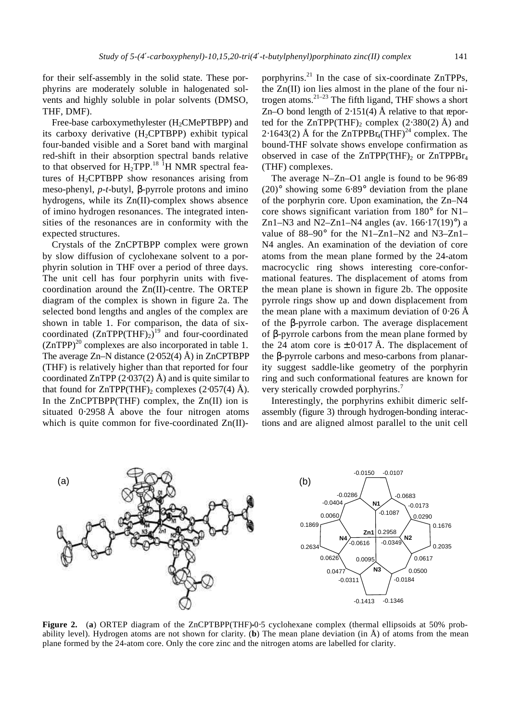for their self-assembly in the solid state. These porphyrins are moderately soluble in halogenated solvents and highly soluble in polar solvents (DMSO, THF, DMF).

Free-base carboxymethylester  $(H_2$ CMePTBPP) and its carboxy derivative  $(H_2CPTBPP)$  exhibit typical four-banded visible and a Soret band with marginal red-shift in their absorption spectral bands relative to that observed for  $H_2$ TPP.<sup>18 1</sup>H NMR spectral features of  $H_2$ CPTBPP show resonances arising from meso-phenyl, *p*-*t*-butyl, *b*-pyrrole protons and imino hydrogens, while its Zn(II)-complex shows absence of imino hydrogen resonances. The integrated intensities of the resonances are in conformity with the expected structures.

Crystals of the ZnCPTBPP complex were grown by slow diffusion of cyclohexane solvent to a porphyrin solution in THF over a period of three days. The unit cell has four porphyrin units with fivecoordination around the Zn(II)-centre. The ORTEP diagram of the complex is shown in figure 2a. The selected bond lengths and angles of the complex are shown in table 1. For comparison, the data of sixcoordinated  $(ZnTPP(THF)_2)^{19}$  and four-coordinated  $(ZnTPP)^{20}$  complexes are also incorporated in table 1. The average Zn–N distance (2⋅052(4) Å) in ZnCPTBPP (THF) is relatively higher than that reported for four coordinated ZnTPP  $(2.037(2)$  Å) and is quite similar to that found for  $ZnTPP(THF)$ <sub>2</sub> complexes (2⋅057(4) Å). In the ZnCPTBPP(THF) complex, the Zn(II) ion is situated 0⋅2958 Å above the four nitrogen atoms which is quite common for five-coordinated Zn(II)-

porphyrins. $^{21}$  In the case of six-coordinate ZnTPPs, the  $Zn(II)$  ion lies almost in the plane of the four nitrogen atoms. $2^{1-23}$  The fifth ligand, THF shows a short Zn–O bond length of  $2.151(4)$  Å relative to that reported for the ZnTPP(THF)<sub>2</sub> complex  $(2·380(2)$  Å) and 2⋅1643(2) Å for the ZnTPPBr<sub>4</sub>(THF)<sup>24</sup> complex. The bound-THF solvate shows envelope confirmation as observed in case of the  $ZnTPP(THF)_2$  or  $ZnTPPBr_4$ (THF) complexes.

The average N–Zn–O1 angle is found to be 96⋅89 (20)° showing some 6⋅89° deviation from the plane of the porphyrin core. Upon examination, the Zn–N4 core shows significant variation from 180° for N1– Zn1–N3 and N2–Zn1–N4 angles (av.  $166·17(19)°$ ) a value of 88–90° for the N1–Zn1–N2 and N3–Zn1– N4 angles. An examination of the deviation of core atoms from the mean plane formed by the 24-atom macrocyclic ring shows interesting core-conformational features. The displacement of atoms from the mean plane is shown in figure 2b. The opposite pyrrole rings show up and down displacement from the mean plane with a maximum deviation of  $0.26 \text{ Å}$ of the *b*-pyrrole carbon. The average displacement of *b*-pyrrole carbons from the mean plane formed by the 24 atom core is  $\pm 0.017$  Å. The displacement of the *b*-pyrrole carbons and meso-carbons from planarity suggest saddle-like geometry of the porphyrin ring and such conformational features are known for very sterically crowded porphyrins.<sup>7</sup>

Interestingly, the porphyrins exhibit dimeric selfassembly (figure 3) through hydrogen-bonding interactions and are aligned almost parallel to the unit cell



**Figure 2.** (**a**) ORTEP diagram of the ZnCPTBPP(THF)**•**0⋅5 cyclohexane complex (thermal ellipsoids at 50% probability level). Hydrogen atoms are not shown for clarity. (**b**) The mean plane deviation (in Å) of atoms from the mean plane formed by the 24-atom core. Only the core zinc and the nitrogen atoms are labelled for clarity.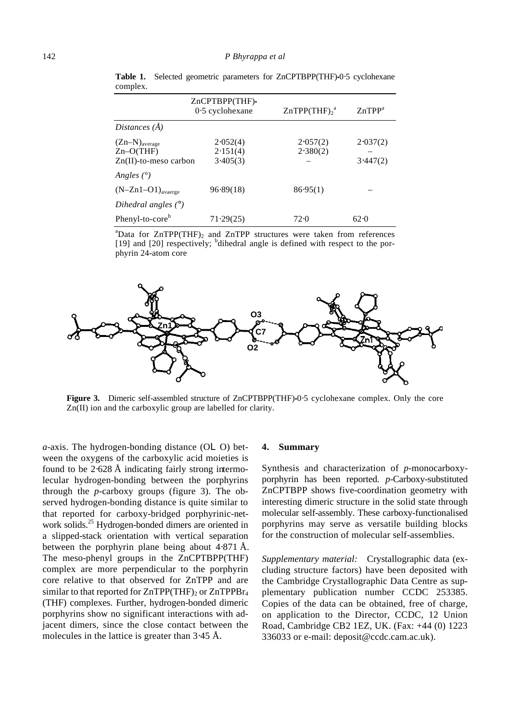|                                                                   | ZnCPTBPP(THF).<br>$0.5$ cyclohexane | ZnTPP(THF) <sub>2</sub> <sup>a</sup> | ZnTPP <sup>a</sup>   |
|-------------------------------------------------------------------|-------------------------------------|--------------------------------------|----------------------|
| Distances (Å)                                                     |                                     |                                      |                      |
| $(Zn-N)_{\text{average}}$<br>$Zn-O(THF)$<br>Zn(II)-to-meso carbon | 2.052(4)<br>2.151(4)<br>3.405(3)    | 2.057(2)<br>2.380(2)                 | 2.037(2)<br>3.447(2) |
| Angles $(^\circ)$<br>$(N-Zn1-O1)_{average}$                       | 96.89(18)                           | 86.95(1)                             |                      |
| Dihedral angles $(°)$<br>Phenyl-to-core <sup>b</sup>              | 71.29(25)                           | 72.0                                 | 62.0                 |

**Table 1.** Selected geometric parameters for ZnCPTBPP(THF)**•**0⋅5 cyclohexane complex.

<sup>a</sup>Data for  $ZnTPP(THF)$ <sub>2</sub> and  $ZnTPP$  structures were taken from references [19] and [20] respectively; <sup>b</sup>dihedral angle is defined with respect to the porphyrin 24-atom core



**Figure 3.** Dimeric self-assembled structure of ZnCPTBPP(THF)**•**0⋅5 cyclohexane complex. Only the core Zn(II) ion and the carboxylic group are labelled for clarity.

 $a$ -axis. The hydrogen-bonding distance  $(OLO)$  between the oxygens of the carboxylic acid moieties is found to be  $2.628 \text{ Å}$  indicating fairly strong intermolecular hydrogen-bonding between the porphyrins through the *p*-carboxy groups (figure 3). The observed hydrogen-bonding distance is quite similar to that reported for carboxy-bridged porphyrinic-network solids.<sup>25</sup> Hydrogen-bonded dimers are oriented in a slipped-stack orientation with vertical separation between the porphyrin plane being about 4⋅871 Å. The meso-phenyl groups in the ZnCPTBPP(THF) complex are more perpendicular to the porphyrin core relative to that observed for ZnTPP and are similar to that reported for  $ZnTPP(THF)_2$  or  $ZnTPPBr_4$ (THF) complexes. Further, hydrogen-bonded dimeric porphyrins show no significant interactions with adjacent dimers, since the close contact between the molecules in the lattice is greater than 3⋅45 Å.

#### **4. Summary**

Synthesis and characterization of *p*-monocarboxyporphyrin has been reported. *p*-Carboxy-substituted ZnCPTBPP shows five-coordination geometry with interesting dimeric structure in the solid state through molecular self-assembly. These carboxy-functionalised porphyrins may serve as versatile building blocks for the construction of molecular self-assemblies.

*Supplementary material:* Crystallographic data (excluding structure factors) have been deposited with the Cambridge Crystallographic Data Centre as supplementary publication number CCDC 253385. Copies of the data can be obtained, free of charge, on application to the Director, CCDC, 12 Union Road, Cambridge CB2 1EZ, UK. (Fax: +44 (0) 1223 336033 or e-mail: deposit@ccdc.cam.ac.uk).